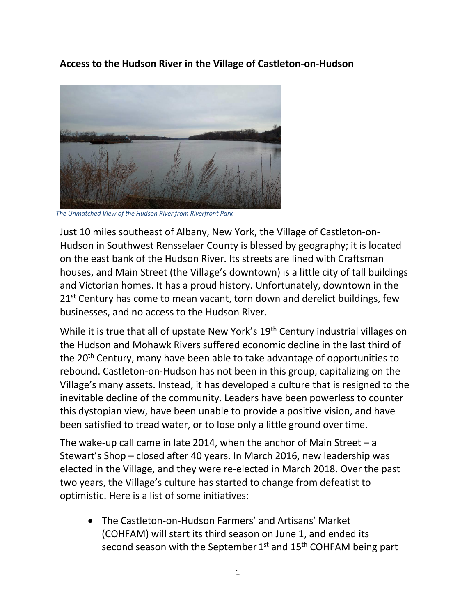**Access to the Hudson River in the Village of Castleton-on-Hudson**



*The Unmatched View of the Hudson River from Riverfront Park*

Just 10 miles southeast of Albany, New York, the Village of Castleton-on-Hudson in Southwest Rensselaer County is blessed by geography; it is located on the east bank of the Hudson River. Its streets are lined with Craftsman houses, and Main Street (the Village's downtown) is a little city of tall buildings and Victorian homes. It has a proud history. Unfortunately, downtown in the  $21<sup>st</sup>$  Century has come to mean vacant, torn down and derelict buildings, few businesses, and no access to the Hudson River.

While it is true that all of upstate New York's 19<sup>th</sup> Century industrial villages on the Hudson and Mohawk Rivers suffered economic decline in the last third of the 20<sup>th</sup> Century, many have been able to take advantage of opportunities to rebound. Castleton-on-Hudson has not been in this group, capitalizing on the Village's many assets. Instead, it has developed a culture that is resigned to the inevitable decline of the community. Leaders have been powerless to counter this dystopian view, have been unable to provide a positive vision, and have been satisfied to tread water, or to lose only a little ground overtime.

The wake-up call came in late 2014, when the anchor of Main Street  $-a$ Stewart's Shop – closed after 40 years. In March 2016, new leadership was elected in the Village, and they were re-elected in March 2018. Over the past two years, the Village's culture has started to change from defeatist to optimistic. Here is a list of some initiatives:

• The Castleton-on-Hudson Farmers' and Artisans' Market (COHFAM) will start its third season on June 1, and ended its second season with the September 1<sup>st</sup> and 15<sup>th</sup> COHFAM being part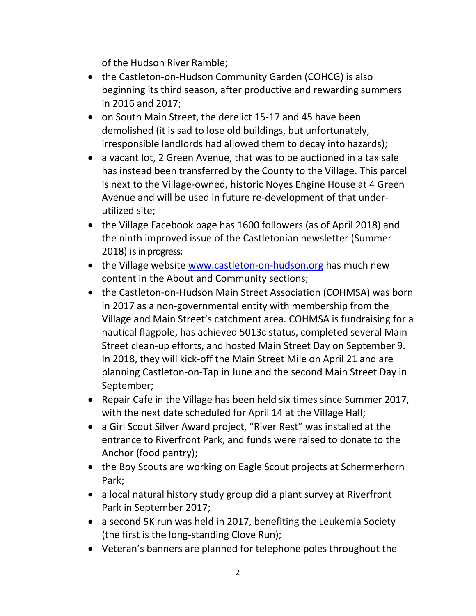of the Hudson River Ramble;

- the Castleton-on-Hudson Community Garden (COHCG) is also beginning its third season, after productive and rewarding summers in 2016 and 2017;
- on South Main Street, the derelict 15-17 and 45 have been demolished (it is sad to lose old buildings, but unfortunately, irresponsible landlords had allowed them to decay into hazards);
- a vacant lot, 2 Green Avenue, that was to be auctioned in a tax sale has instead been transferred by the County to the Village. This parcel is next to the Village-owned, historic Noyes Engine House at 4 Green Avenue and will be used in future re-development of that underutilized site;
- the Village Facebook page has 1600 followers (as of April 2018) and the ninth improved issue of the Castletonian newsletter (Summer 2018) is in progress;
- the Village website [www.castleton-on-hudson.org](http://www.castleton-on-hudson.org/) has much new content in the About and Community sections;
- the Castleton-on-Hudson Main Street Association (COHMSA) was born in 2017 as a non-governmental entity with membership from the Village and Main Street's catchment area. COHMSA is fundraising for a nautical flagpole, has achieved 5013c status, completed several Main Street clean-up efforts, and hosted Main Street Day on September 9. In 2018, they will kick-off the Main Street Mile on April 21 and are planning Castleton-on-Tap in June and the second Main Street Day in September;
- Repair Cafe in the Village has been held six times since Summer 2017, with the next date scheduled for April 14 at the Village Hall;
- a Girl Scout Silver Award project, "River Rest" was installed at the entrance to Riverfront Park, and funds were raised to donate to the Anchor (food pantry);
- the Boy Scouts are working on Eagle Scout projects at Schermerhorn Park;
- a local natural history study group did a plant survey at Riverfront Park in September 2017;
- a second 5K run was held in 2017, benefiting the Leukemia Society (the first is the long-standing Clove Run);
- Veteran's banners are planned for telephone poles throughout the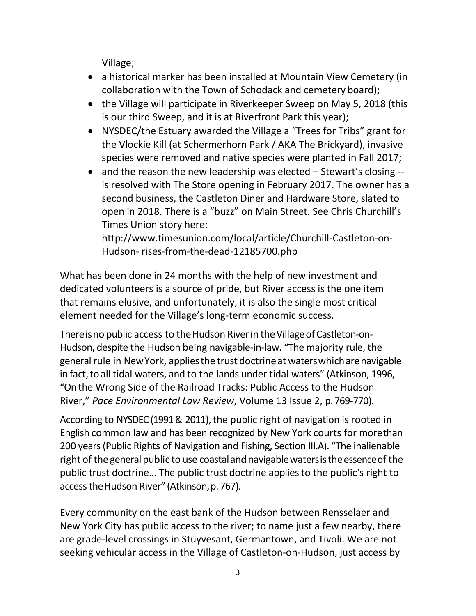Village;

- a historical marker has been installed at Mountain View Cemetery (in collaboration with the Town of Schodack and cemetery board);
- the Village will participate in Riverkeeper Sweep on May 5, 2018 (this is our third Sweep, and it is at Riverfront Park this year);
- NYSDEC/the Estuary awarded the Village a "Trees for Tribs" grant for the Vlockie Kill (at Schermerhorn Park / AKA The Brickyard), invasive species were removed and native species were planted in Fall 2017;
- and the reason the new leadership was elected Stewart's closing -is resolved with The Store opening in February 2017. The owner has a second business, the Castleton Diner and Hardware Store, slated to open in 2018. There is a "buzz" on Main Street. See Chris Churchill's Times Union story here[:](http://www.timesunion.com/local/article/Churchill-Castleton-on-Hudson-)

[http://www.timesunion.com/local/article/Churchill-Castleton-on-](http://www.timesunion.com/local/article/Churchill-Castleton-on-Hudson-)[Hudson-](http://www.timesunion.com/local/article/Churchill-Castleton-on-Hudson-) rises-from-the-dead-12185700.php

What has been done in 24 months with the help of new investment and dedicated volunteers is a source of pride, but River access is the one item that remains elusive, and unfortunately, it is also the single most critical element needed for the Village's long-term economic success.

There is no public access to the Hudson River in the Village of Castleton-on-Hudson, despite the Hudson being navigable-in-law. "The majority rule, the general rule in NewYork, appliesthe trust doctrineat waterswhicharenavigable in fact, to all tidal waters, and to the lands under tidal waters" (Atkinson, 1996, "On the Wrong Side of the Railroad Tracks: Public Access to the Hudson River," *Pace Environmental Law Review*, Volume 13 Issue 2, p.769-770).

According to NYSDEC (1991 & 2011), the public right of navigation is rooted in English common law and has been recognized by New York courts for morethan 200 years (Public Rights of Navigation and Fishing, Section III.A). "The inalienable right of the general public to use coastal and navigable waters is the essence of the public trust doctrine… The public trust doctrine applies to the public's right to accesstheHudson River" (Atkinson,p. 767).

Every community on the east bank of the Hudson between Rensselaer and New York City has public access to the river; to name just a few nearby, there are grade-level crossings in Stuyvesant, Germantown, and Tivoli. We are not seeking vehicular access in the Village of Castleton-on-Hudson, just access by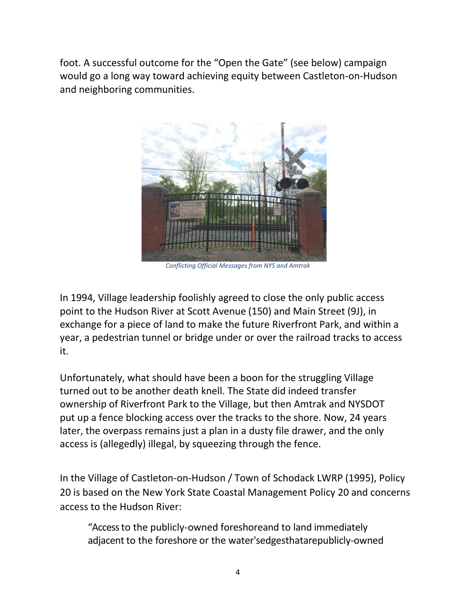foot. A successful outcome for the "Open the Gate" (see below) campaign would go a long way toward achieving equity between Castleton-on-Hudson and neighboring communities.



*Conflicting Official Messages from NYS and Amtrak*

In 1994, Village leadership foolishly agreed to close the only public access point to the Hudson River at Scott Avenue (150) and Main Street (9J), in exchange for a piece of land to make the future Riverfront Park, and within a year, a pedestrian tunnel or bridge under or over the railroad tracks to access it.

Unfortunately, what should have been a boon for the struggling Village turned out to be another death knell. The State did indeed transfer ownership of Riverfront Park to the Village, but then Amtrak and NYSDOT put up a fence blocking access over the tracks to the shore. Now, 24 years later, the overpass remains just a plan in a dusty file drawer, and the only access is (allegedly) illegal, by squeezing through the fence.

In the Village of Castleton-on-Hudson / Town of Schodack LWRP (1995), Policy 20 is based on the New York State Coastal Management Policy 20 and concerns access to the Hudson River:

"Access to the publicly-owned foreshoreand to land immediately adjacent to the foreshore or the water'sedgesthatarepublicly-owned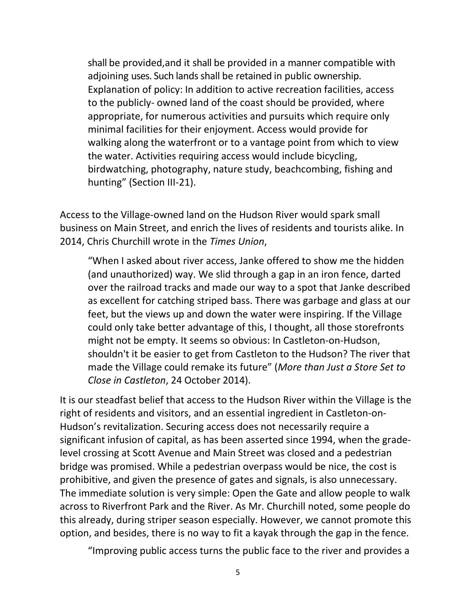shall be provided,and it shall be provided in a manner compatible with adjoining uses. Such lands shall be retained in public ownership. Explanation of policy: In addition to active recreation facilities, access to the publicly- owned land of the coast should be provided, where appropriate, for numerous activities and pursuits which require only minimal facilities for their enjoyment. Access would provide for walking along the waterfront or to a vantage point from which to view the water. Activities requiring access would include bicycling, birdwatching, photography, nature study, beachcombing, fishing and hunting" (Section III-21).

Access to the Village-owned land on the Hudson River would spark small business on Main Street, and enrich the lives of residents and tourists alike. In 2014, Chris Churchill wrote in the *Times Union*,

"When I asked about river access, Janke offered to show me the hidden (and unauthorized) way. We slid through a gap in an iron fence, darted over the railroad tracks and made our way to a spot that Janke described as excellent for catching striped bass. There was garbage and glass at our feet, but the views up and down the water were inspiring. If the Village could only take better advantage of this, I thought, all those storefronts might not be empty. It seems so obvious: In Castleton-on-Hudson, shouldn't it be easier to get from Castleton to the Hudson? The river that made the Village could remake its future" (*More than Just a Store Set to Close in Castleton*, 24 October 2014).

It is our steadfast belief that access to the Hudson River within the Village is the right of residents and visitors, and an essential ingredient in Castleton-on-Hudson's revitalization. Securing access does not necessarily require a significant infusion of capital, as has been asserted since 1994, when the gradelevel crossing at Scott Avenue and Main Street was closed and a pedestrian bridge was promised. While a pedestrian overpass would be nice, the cost is prohibitive, and given the presence of gates and signals, is also unnecessary. The immediate solution is very simple: Open the Gate and allow people to walk across to Riverfront Park and the River. As Mr. Churchill noted, some people do this already, during striper season especially. However, we cannot promote this option, and besides, there is no way to fit a kayak through the gap in the fence.

"Improving public access turns the public face to the river and provides a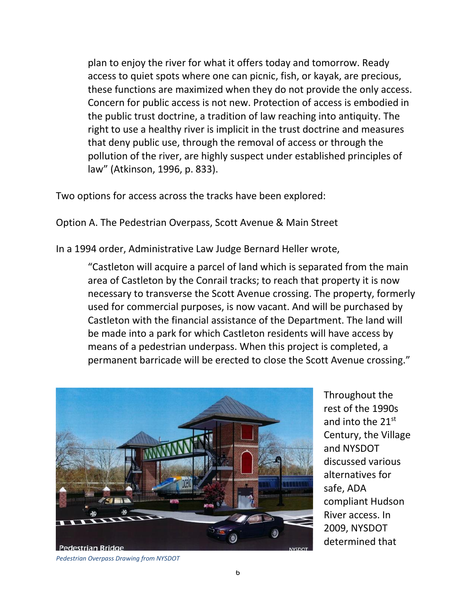plan to enjoy the river for what it offers today and tomorrow. Ready access to quiet spots where one can picnic, fish, or kayak, are precious, these functions are maximized when they do not provide the only access. Concern for public access is not new. Protection of access is embodied in the public trust doctrine, a tradition of law reaching into antiquity. The right to use a healthy river is implicit in the trust doctrine and measures that deny public use, through the removal of access or through the pollution of the river, are highly suspect under established principles of law" (Atkinson, 1996, p. 833).

Two options for access across the tracks have been explored:

Option A. The Pedestrian Overpass, Scott Avenue & Main Street

In a 1994 order, Administrative Law Judge Bernard Heller wrote,

"Castleton will acquire a parcel of land which is separated from the main area of Castleton by the Conrail tracks; to reach that property it is now necessary to transverse the Scott Avenue crossing. The property, formerly used for commercial purposes, is now vacant. And will be purchased by Castleton with the financial assistance of the Department. The land will be made into a park for which Castleton residents will have access by means of a pedestrian underpass. When this project is completed, a permanent barricade will be erected to close the Scott Avenue crossing."



Throughout the rest of the 1990s and into the 21st Century, the Village and NYSDOT discussed various alternatives for safe, ADA compliant Hudson River access. In 2009, NYSDOT determined that

*Pedestrian Overpass Drawing from NYSDOT*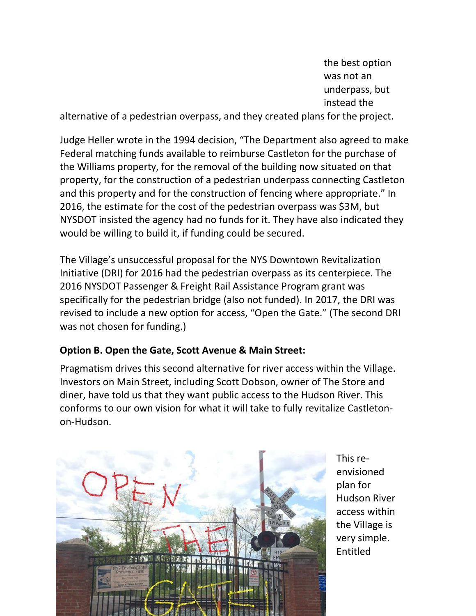the best option was not an underpass, but instead the

alternative of a pedestrian overpass, and they created plans for the project.

Judge Heller wrote in the 1994 decision, "The Department also agreed to make Federal matching funds available to reimburse Castleton for the purchase of the Williams property, for the removal of the building now situated on that property, for the construction of a pedestrian underpass connecting Castleton and this property and for the construction of fencing where appropriate." In 2016, the estimate for the cost of the pedestrian overpass was \$3M, but NYSDOT insisted the agency had no funds for it. They have also indicated they would be willing to build it, if funding could be secured.

The Village's unsuccessful proposal for the NYS Downtown Revitalization Initiative (DRI) for 2016 had the pedestrian overpass as its centerpiece. The 2016 NYSDOT Passenger & Freight Rail Assistance Program grant was specifically for the pedestrian bridge (also not funded). In 2017, the DRI was revised to include a new option for access, "Open the Gate." (The second DRI was not chosen for funding.)

## **Option B. Open the Gate, Scott Avenue & Main Street:**

Pragmatism drives this second alternative for river access within the Village. Investors on Main Street, including Scott Dobson, owner of The Store and diner, have told us that they want public access to the Hudson River. This conforms to our own vision for what it will take to fully revitalize Castletonon-Hudson.



This reenvisioned plan for Hudson River access within the Village is very simple. Entitled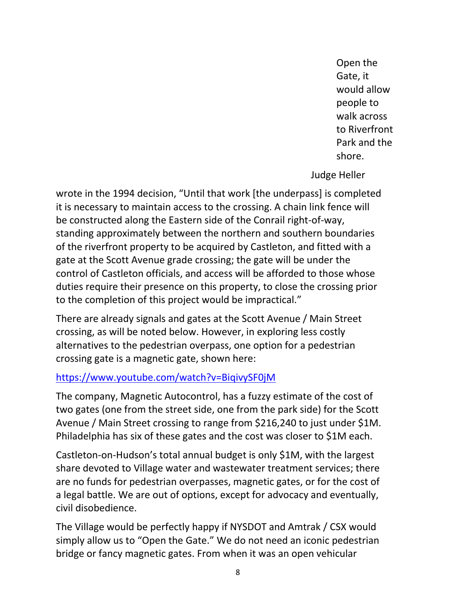Open the Gate, it would allow people to walk across to Riverfront Park and the shore.

Judge Heller

wrote in the 1994 decision, "Until that work [the underpass] is completed it is necessary to maintain access to the crossing. A chain link fence will be constructed along the Eastern side of the Conrail right-of-way, standing approximately between the northern and southern boundaries of the riverfront property to be acquired by Castleton, and fitted with a gate at the Scott Avenue grade crossing; the gate will be under the control of Castleton officials, and access will be afforded to those whose duties require their presence on this property, to close the crossing prior to the completion of this project would be impractical."

There are already signals and gates at the Scott Avenue / Main Street crossing, as will be noted below. However, in exploring less costly alternatives to the pedestrian overpass, one option for a pedestrian crossing gate is a magnetic gate, shown here:

## <https://www.youtube.com/watch?v=BiqivySF0jM>

The company, Magnetic Autocontrol, has a fuzzy estimate of the cost of two gates (one from the street side, one from the park side) for the Scott Avenue / Main Street crossing to range from \$216,240 to just under \$1M. Philadelphia has six of these gates and the cost was closer to \$1M each.

Castleton-on-Hudson's total annual budget is only \$1M, with the largest share devoted to Village water and wastewater treatment services; there are no funds for pedestrian overpasses, magnetic gates, or for the cost of a legal battle. We are out of options, except for advocacy and eventually, civil disobedience.

The Village would be perfectly happy if NYSDOT and Amtrak / CSX would simply allow us to "Open the Gate." We do not need an iconic pedestrian bridge or fancy magnetic gates. From when it was an open vehicular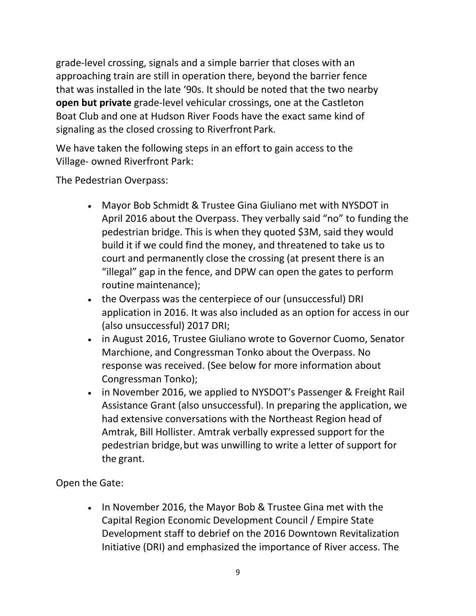grade-level crossing, signals and a simple barrier that closes with an approaching train are still in operation there, beyond the barrier fence that was installed in the late '90s. It should be noted that the two nearby **open but private** grade-level vehicular crossings, one at the Castleton Boat Club and one at Hudson River Foods have the exact same kind of signaling as the closed crossing to Riverfront Park.

We have taken the following steps in an effort to gain access to the Village- owned Riverfront Park:

The Pedestrian Overpass:

- Mayor Bob Schmidt & Trustee Gina Giuliano met with NYSDOT in April 2016 about the Overpass. They verbally said "no" to funding the pedestrian bridge. This is when they quoted \$3M, said they would build it if we could find the money, and threatened to take us to court and permanently close the crossing (at present there is an "illegal" gap in the fence, and DPW can open the gates to perform routine maintenance);
- the Overpass was the centerpiece of our (unsuccessful) DRI application in 2016. It was also included as an option for access in our (also unsuccessful) 2017 DRI;
- in August 2016, Trustee Giuliano wrote to Governor Cuomo, Senator Marchione, and Congressman Tonko about the Overpass. No response was received. (See below for more information about Congressman Tonko);
- in November 2016, we applied to NYSDOT's Passenger & Freight Rail Assistance Grant (also unsuccessful). In preparing the application, we had extensive conversations with the Northeast Region head of Amtrak, Bill Hollister. Amtrak verbally expressed support for the pedestrian bridge,but was unwilling to write a letter of support for the grant.

Open the Gate:

• In November 2016, the Mayor Bob & Trustee Gina met with the Capital Region Economic Development Council / Empire State Development staff to debrief on the 2016 Downtown Revitalization Initiative (DRI) and emphasized the importance of River access. The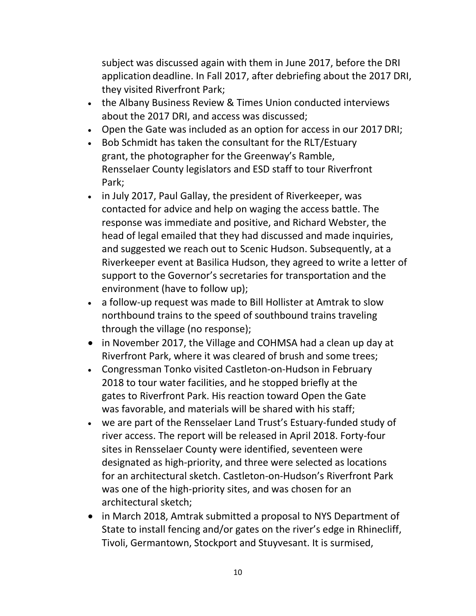subject was discussed again with them in June 2017, before the DRI application deadline. In Fall 2017, after debriefing about the 2017 DRI, they visited Riverfront Park;

- the Albany Business Review & Times Union conducted interviews about the 2017 DRI, and access was discussed;
- Open the Gate was included as an option for access in our 2017 DRI;
- Bob Schmidt has taken the consultant for the RLT/Estuary grant, the photographer for the Greenway's Ramble, Rensselaer County legislators and ESD staff to tour Riverfront Park;
- in July 2017, Paul Gallay, the president of Riverkeeper, was contacted for advice and help on waging the access battle. The response was immediate and positive, and Richard Webster, the head of legal emailed that they had discussed and made inquiries, and suggested we reach out to Scenic Hudson. Subsequently, at a Riverkeeper event at Basilica Hudson, they agreed to write a letter of support to the Governor's secretaries for transportation and the environment (have to follow up);
- a follow-up request was made to Bill Hollister at Amtrak to slow northbound trains to the speed of southbound trains traveling through the village (no response);
- in November 2017, the Village and COHMSA had a clean up day at Riverfront Park, where it was cleared of brush and some trees;
- Congressman Tonko visited Castleton-on-Hudson in February 2018 to tour water facilities, and he stopped briefly at the gates to Riverfront Park. His reaction toward Open the Gate was favorable, and materials will be shared with his staff;
- we are part of the Rensselaer Land Trust's Estuary-funded study of river access. The report will be released in April 2018. Forty-four sites in Rensselaer County were identified, seventeen were designated as high-priority, and three were selected as locations for an architectural sketch. Castleton-on-Hudson's Riverfront Park was one of the high-priority sites, and was chosen for an architectural sketch;
- in March 2018, Amtrak submitted a proposal to NYS Department of State to install fencing and/or gates on the river's edge in Rhinecliff, Tivoli, Germantown, Stockport and Stuyvesant. It is surmised,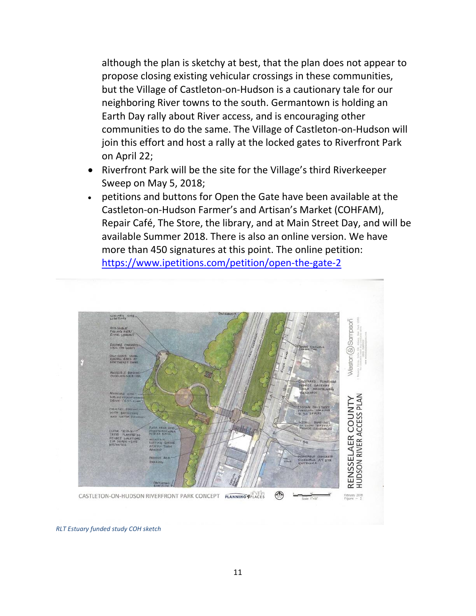although the plan is sketchy at best, that the plan does not appear to propose closing existing vehicular crossings in these communities, but the Village of Castleton-on-Hudson is a cautionary tale for our neighboring River towns to the south. Germantown is holding an Earth Day rally about River access, and is encouraging other communities to do the same. The Village of Castleton-on-Hudson will join this effort and host a rally at the locked gates to Riverfront Park on April 22;

- Riverfront Park will be the site for the Village's third Riverkeeper Sweep on May 5, 2018;
- petitions and buttons for Open the Gate have been available at the Castleton-on-Hudson Farmer's and Artisan's Market (COHFAM), Repair Café, The Store, the library, and at Main Street Day, and will be available Summer 2018. There is also an online version. We have more than 450 signatures at this point. The online petition: <https://www.ipetitions.com/petition/open-the-gate-2>



*RLT Estuary funded study COH sketch*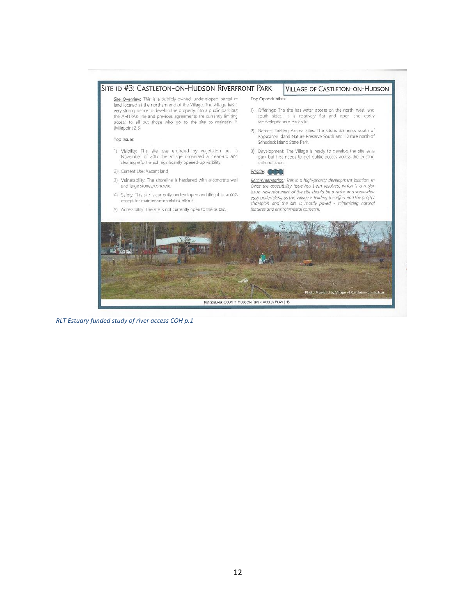

*RLT Estuary funded study of river access COH p.1*